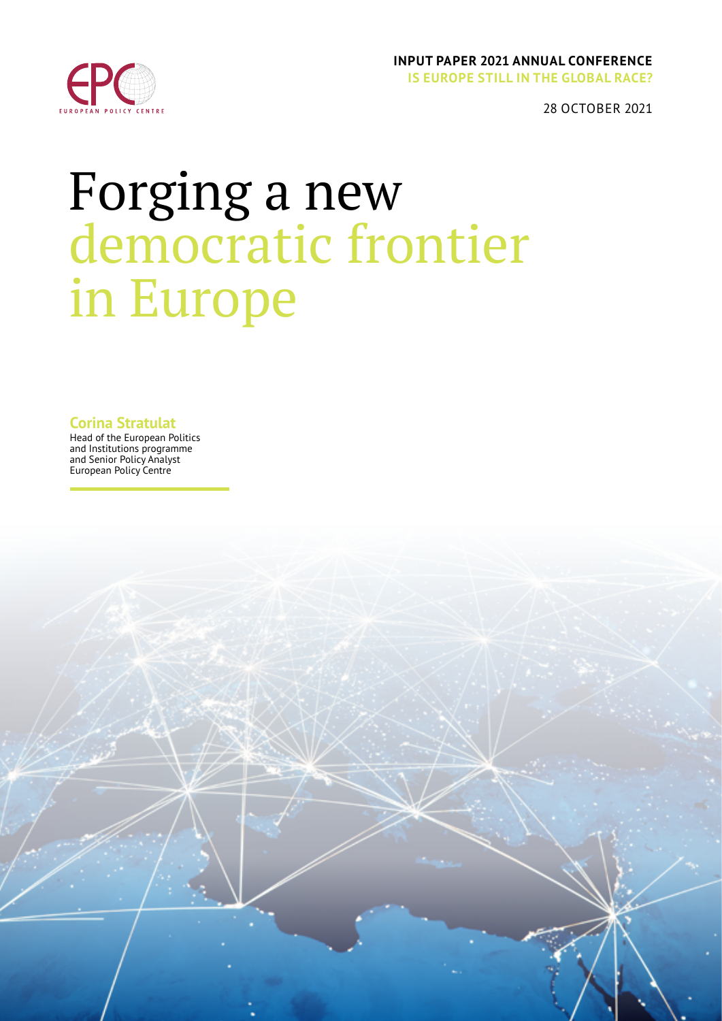

### **INPUT PAPER 2021 ANNUAL CONFERENCE IS EUROPE STILL IN THE GLOBAL RACE?**

28 OCTOBER 2021

# Forging a new democratic frontier in Europe

**Corina Stratulat**

Head of the European Politics and Institutions programme and Senior Policy Analyst European Policy Centre

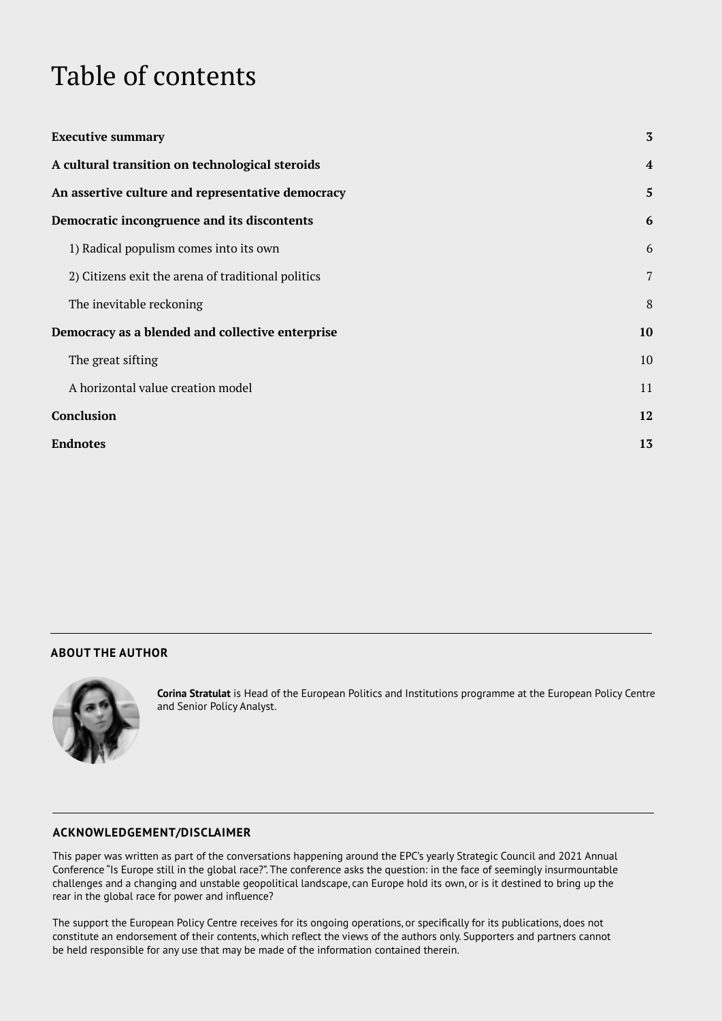# <span id="page-1-0"></span>Table of contents

| <b>Executive summary</b>                           | $\overline{3}$ |
|----------------------------------------------------|----------------|
| A cultural transition on technological steroids    | $\overline{4}$ |
| An assertive culture and representative democracy  | $\mathbf{5}$   |
| Democratic incongruence and its discontents        | 6              |
| 1) Radical populism comes into its own             | 6              |
| 2) Citizens exit the arena of traditional politics | 7              |
| The inevitable reckoning                           | 8              |
| Democracy as a blended and collective enterprise   | 10             |
| The great sifting                                  | 10             |
| A horizontal value creation model                  | 11             |
| Conclusion                                         | 12             |
| <b>Endnotes</b>                                    | 13             |

### **ABOUT THE AUTHOR**



**Corina Stratulat** is Head of the European Politics and Institutions programme at the European Policy Centre and Senior Policy Analyst.

#### **ACKNOWLEDGEMENT/DISCLAIMER**

This paper was written as part of the conversations happening around the EPC's yearly Strategic Council and 2021 Annual Conference "Is Europe still in the global race?". The conference asks the question: in the face of seemingly insurmountable challenges and a changing and unstable geopolitical landscape, can Europe hold its own, or is it destined to bring up the rear in the global race for power and influence?

The support the European Policy Centre receives for its ongoing operations, or specifically for its publications, does not constitute an endorsement of their contents, which reflect the views of the authors only. Supporters and partners cannot be held responsible for any use that may be made of the information contained therein.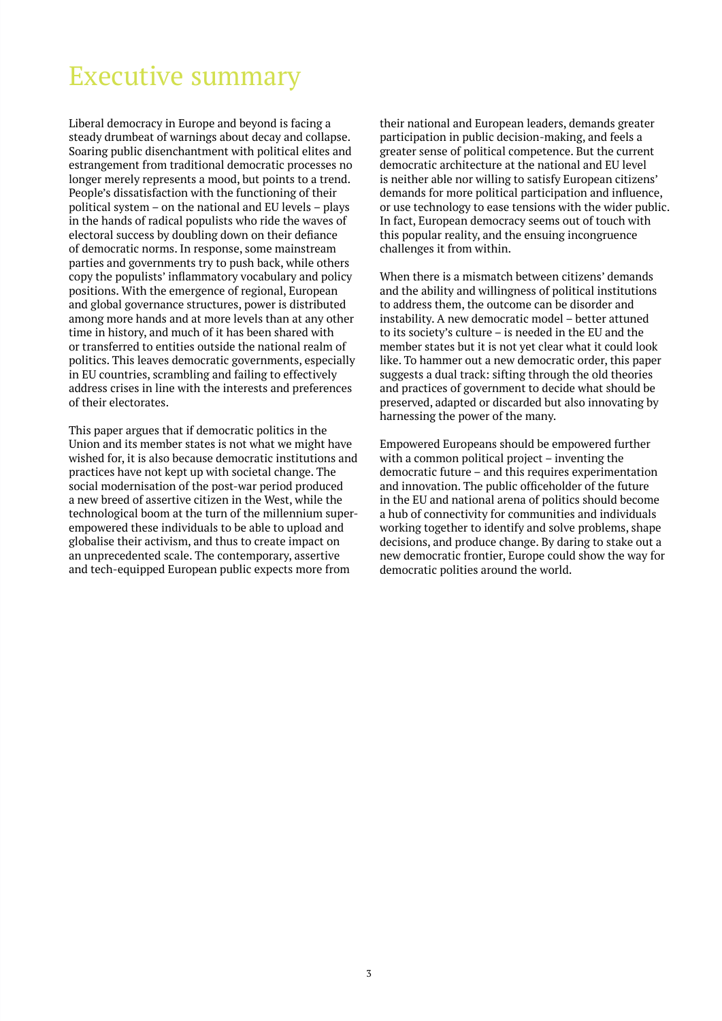### <span id="page-2-0"></span>[Executive summary](#page-1-0)

Liberal democracy in Europe and beyond is facing a steady drumbeat of warnings about decay and collapse. Soaring public disenchantment with political elites and estrangement from traditional democratic processes no longer merely represents a mood, but points to a trend. People's dissatisfaction with the functioning of their political system – on the national and EU levels – plays in the hands of radical populists who ride the waves of electoral success by doubling down on their defiance of democratic norms. In response, some mainstream parties and governments try to push back, while others copy the populists' inflammatory vocabulary and policy positions. With the emergence of regional, European and global governance structures, power is distributed among more hands and at more levels than at any other time in history, and much of it has been shared with or transferred to entities outside the national realm of politics. This leaves democratic governments, especially in EU countries, scrambling and failing to effectively address crises in line with the interests and preferences of their electorates.

This paper argues that if democratic politics in the Union and its member states is not what we might have wished for, it is also because democratic institutions and practices have not kept up with societal change. The social modernisation of the post-war period produced a new breed of assertive citizen in the West, while the technological boom at the turn of the millennium superempowered these individuals to be able to upload and globalise their activism, and thus to create impact on an unprecedented scale. The contemporary, assertive and tech-equipped European public expects more from

their national and European leaders, demands greater participation in public decision-making, and feels a greater sense of political competence. But the current democratic architecture at the national and EU level is neither able nor willing to satisfy European citizens' demands for more political participation and influence, or use technology to ease tensions with the wider public. In fact, European democracy seems out of touch with this popular reality, and the ensuing incongruence challenges it from within.

When there is a mismatch between citizens' demands and the ability and willingness of political institutions to address them, the outcome can be disorder and instability. A new democratic model – better attuned to its society's culture – is needed in the EU and the member states but it is not yet clear what it could look like. To hammer out a new democratic order, this paper suggests a dual track: sifting through the old theories and practices of government to decide what should be preserved, adapted or discarded but also innovating by harnessing the power of the many.

Empowered Europeans should be empowered further with a common political project – inventing the democratic future – and this requires experimentation and innovation. The public officeholder of the future in the EU and national arena of politics should become a hub of connectivity for communities and individuals working together to identify and solve problems, shape decisions, and produce change. By daring to stake out a new democratic frontier, Europe could show the way for democratic polities around the world.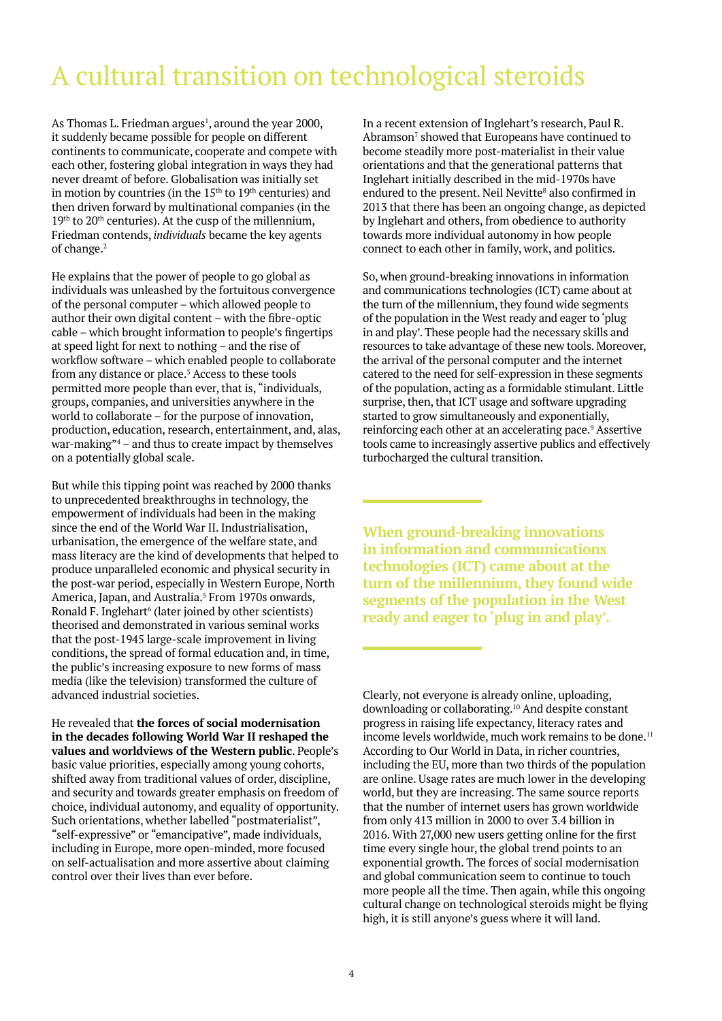# <span id="page-3-0"></span>A cultural transition on technological steroids

As Thomas L. Friedman argues<sup>1</sup>, around the year 2000, it suddenly became possible for people on different continents to communicate, cooperate and compete with each other, fostering global integration in ways they had never dreamt of before. Globalisation was initially set in motion by countries (in the  $15<sup>th</sup>$  to  $19<sup>th</sup>$  centuries) and then driven forward by multinational companies (in the  $19<sup>th</sup>$  to  $20<sup>th</sup>$  centuries). At the cusp of the millennium, Friedman contends, *individuals* became the key agents of change.2

He explains that the power of people to go global as individuals was unleashed by the fortuitous convergence of the personal computer – which allowed people to author their own digital content – with the fibre-optic cable – which brought information to people's fingertips at speed light for next to nothing – and the rise of workflow software – which enabled people to collaborate from any distance or place.<sup>3</sup> Access to these tools permitted more people than ever, that is, "individuals, groups, companies, and universities anywhere in the world to collaborate – for the purpose of innovation, production, education, research, entertainment, and, alas, war-making"4 – and thus to create impact by themselves on a potentially global scale.

But while this tipping point was reached by 2000 thanks to unprecedented breakthroughs in technology, the empowerment of individuals had been in the making since the end of the World War II. Industrialisation, urbanisation, the emergence of the welfare state, and mass literacy are the kind of developments that helped to produce unparalleled economic and physical security in the post-war period, especially in Western Europe, North America, Japan, and Australia.<sup>5</sup> From 1970s onwards, Ronald F. Inglehart<sup>6</sup> (later joined by other scientists) theorised and demonstrated in various seminal works that the post-1945 large-scale improvement in living conditions, the spread of formal education and, in time, the public's increasing exposure to new forms of mass media (like the television) transformed the culture of advanced industrial societies.

He revealed that **the forces of social modernisation in the decades following World War II reshaped the values and worldviews of the Western public**. People's basic value priorities, especially among young cohorts, shifted away from traditional values of order, discipline, and security and towards greater emphasis on freedom of choice, individual autonomy, and equality of opportunity. Such orientations, whether labelled "postmaterialist", "self-expressive" or "emancipative", made individuals, including in Europe, more open-minded, more focused on self-actualisation and more assertive about claiming control over their lives than ever before.

In a recent extension of Inglehart's research, Paul R. Abramson<sup>7</sup> showed that Europeans have continued to become steadily more post-materialist in their value orientations and that the generational patterns that Inglehart initially described in the mid-1970s have endured to the present. Neil Nevitte<sup>8</sup> also confirmed in 2013 that there has been an ongoing change, as depicted by Inglehart and others, from obedience to authority towards more individual autonomy in how people connect to each other in family, work, and politics.

So, when ground-breaking innovations in information and communications technologies (ICT) came about at the turn of the millennium, they found wide segments of the population in the West ready and eager to 'plug in and play'. These people had the necessary skills and resources to take advantage of these new tools. Moreover, the arrival of the personal computer and the internet catered to the need for self-expression in these segments of the population, acting as a formidable stimulant. Little surprise, then, that ICT usage and software upgrading started to grow simultaneously and exponentially, reinforcing each other at an accelerating pace.<sup>9</sup> Assertive tools came to increasingly assertive publics and effectively turbocharged the cultural transition.

**When ground-breaking innovations in information and communications technologies (ICT) came about at the turn of the millennium, they found wide segments of the population in the West ready and eager to 'plug in and play'.**

Clearly, not everyone is already online, uploading, downloading or collaborating.<sup>10</sup> And despite constant progress in raising life expectancy, literacy rates and income levels worldwide, much work remains to be done.<sup>11</sup> According to Our World in Data, in richer countries, including the EU, more than two thirds of the population are online. Usage rates are much lower in the developing world, but they are increasing. The same source reports that the number of internet users has grown worldwide from only 413 million in 2000 to over 3.4 billion in 2016. With 27,000 new users getting online for the first time every single hour, the global trend points to an exponential growth. The forces of social modernisation and global communication seem to continue to touch more people all the time. Then again, while this ongoing cultural change on technological steroids might be flying high, it is still anyone's guess where it will land.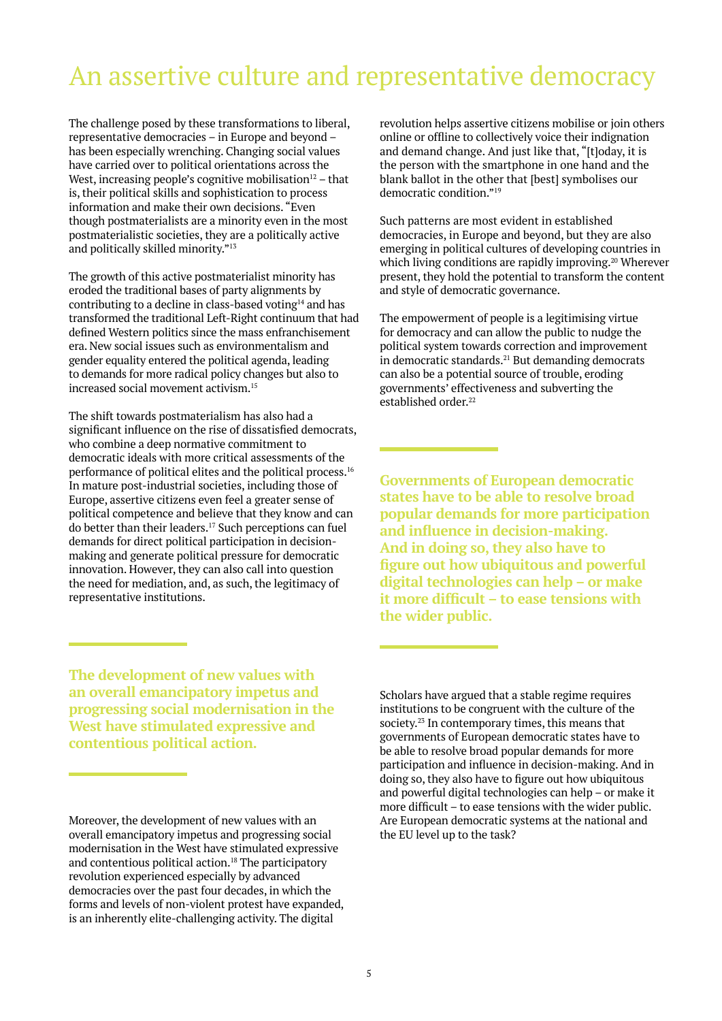### An assertive culture and representative democracy

The challenge posed by these transformations to liberal, representative democracies – in Europe and beyond – has been especially wrenching. Changing social values have carried over to political orientations across the West, increasing people's cognitive mobilisation $12$  – that is, their political skills and sophistication to process information and make their own decisions. "Even though postmaterialists are a minority even in the most postmaterialistic societies, they are a politically active and politically skilled minority."13

The growth of this active postmaterialist minority has eroded the traditional bases of party alignments by contributing to a decline in class-based voting14 and has transformed the traditional Left-Right continuum that had defined Western politics since the mass enfranchisement era. New social issues such as environmentalism and gender equality entered the political agenda, leading to demands for more radical policy changes but also to increased social movement activism.15

The shift towards postmaterialism has also had a significant influence on the rise of dissatisfied democrats, who combine a deep normative commitment to democratic ideals with more critical assessments of the performance of political elites and the political process.16 In mature post-industrial societies, including those of Europe, assertive citizens even feel a greater sense of political competence and believe that they know and can do better than their leaders.<sup>17</sup> Such perceptions can fuel demands for direct political participation in decisionmaking and generate political pressure for democratic innovation. However, they can also call into question the need for mediation, and, as such, the legitimacy of representative institutions.

revolution helps assertive citizens mobilise or join others online or offline to collectively voice their indignation and demand change. And just like that, "[t]oday, it is the person with the smartphone in one hand and the blank ballot in the other that [best] symbolises our democratic condition."19

Such patterns are most evident in established democracies, in Europe and beyond, but they are also emerging in political cultures of developing countries in which living conditions are rapidly improving.<sup>20</sup> Wherever present, they hold the potential to transform the content and style of democratic governance.

The empowerment of people is a legitimising virtue for democracy and can allow the public to nudge the political system towards correction and improvement in democratic standards. $21$  But demanding democrats can also be a potential source of trouble, eroding governments' effectiveness and subverting the established order.<sup>22</sup>

**Governments of European democratic states have to be able to resolve broad popular demands for more participation and influence in decision-making. And in doing so, they also have to figure out how ubiquitous and powerful digital technologies can help – or make it more difficult – to ease tensions with the wider public.**

**The development of new values with an overall emancipatory impetus and progressing social modernisation in the West have stimulated expressive and contentious political action.**

Scholars have argued that a stable regime requires institutions to be congruent with the culture of the society.23 In contemporary times, this means that governments of European democratic states have to be able to resolve broad popular demands for more participation and influence in decision-making. And in doing so, they also have to figure out how ubiquitous and powerful digital technologies can help – or make it more difficult – to ease tensions with the wider public. Are European democratic systems at the national and the EU level up to the task?

Moreover, the development of new values with an overall emancipatory impetus and progressing social modernisation in the West have stimulated expressive and contentious political action.18 The participatory revolution experienced especially by advanced democracies over the past four decades, in which the forms and levels of non-violent protest have expanded, is an inherently elite-challenging activity. The digital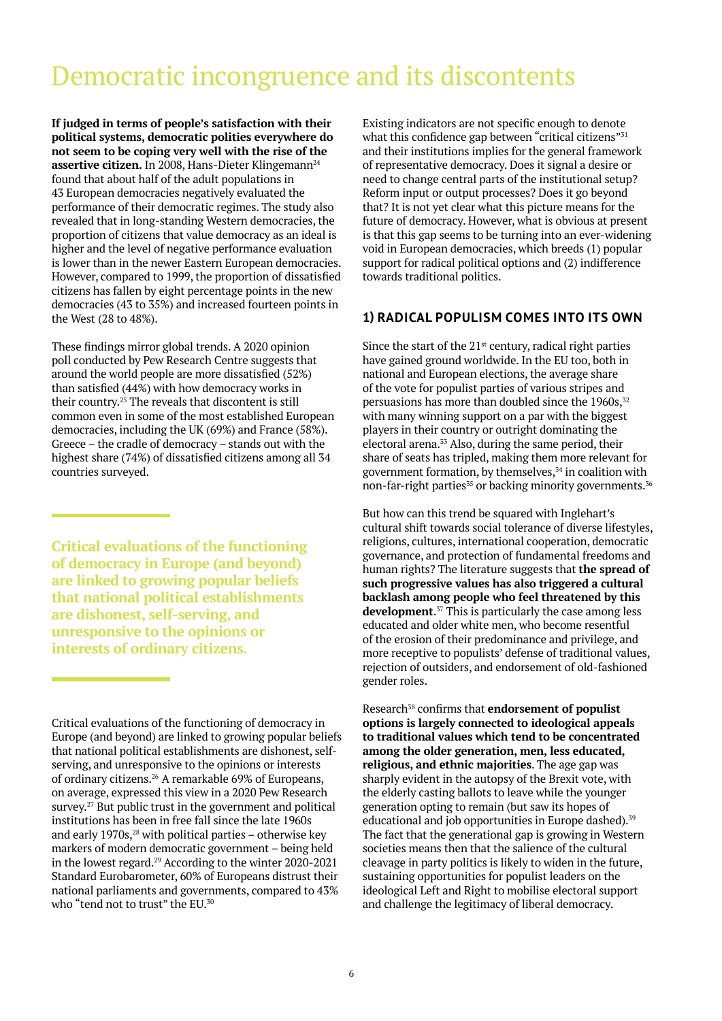### Democratic incongruence and its discontents

**If judged in terms of people's satisfaction with their political systems, democratic polities everywhere do not seem to be coping very well with the rise of the**  assertive citizen. In 2008, Hans-Dieter Klingemann<sup>24</sup> found that about half of the adult populations in 43 European democracies negatively evaluated the performance of their democratic regimes. The study also revealed that in long-standing Western democracies, the proportion of citizens that value democracy as an ideal is higher and the level of negative performance evaluation is lower than in the newer Eastern European democracies. However, compared to 1999, the proportion of dissatisfied citizens has fallen by eight percentage points in the new democracies (43 to 35%) and increased fourteen points in the West (28 to 48%).

These findings mirror global trends. A 2020 opinion poll conducted by Pew Research Centre suggests that around the world people are more dissatisfied (52%) than satisfied (44%) with how democracy works in their country.25 The reveals that discontent is still common even in some of the most established European democracies, including the UK (69%) and France (58%). Greece – the cradle of democracy – stands out with the highest share (74%) of dissatisfied citizens among all 34 countries surveyed.

**Critical evaluations of the functioning of democracy in Europe (and beyond) are linked to growing popular beliefs that national political establishments are dishonest, self-serving, and unresponsive to the opinions or interests of ordinary citizens.**

Critical evaluations of the functioning of democracy in Europe (and beyond) are linked to growing popular beliefs that national political establishments are dishonest, selfserving, and unresponsive to the opinions or interests of ordinary citizens.26 A remarkable 69% of Europeans, on average, expressed this view in a 2020 Pew Research survey.27 But public trust in the government and political institutions has been in free fall since the late 1960s and early 1970s, $28$  with political parties – otherwise key markers of modern democratic government – being held in the lowest regard.29 According to the winter 2020-2021 Standard Eurobarometer, 60% of Europeans distrust their national parliaments and governments, compared to 43% who "tend not to trust" the EU.<sup>30</sup>

Existing indicators are not specific enough to denote what this confidence gap between "critical citizens"<sup>31</sup> and their institutions implies for the general framework of representative democracy. Does it signal a desire or need to change central parts of the institutional setup? Reform input or output processes? Does it go beyond that? It is not yet clear what this picture means for the future of democracy. However, what is obvious at present is that this gap seems to be turning into an ever-widening void in European democracies, which breeds (1) popular support for radical political options and (2) indifference towards traditional politics.

### **1) RADICAL POPULISM COMES INTO ITS OWN**

Since the start of the  $21<sup>st</sup>$  century, radical right parties have gained ground worldwide. In the EU too, both in national and European elections, the average share of the vote for populist parties of various stripes and persuasions has more than doubled since the  $1960s$ ,  $32$ with many winning support on a par with the biggest players in their country or outright dominating the electoral arena.<sup>33</sup> Also, during the same period, their share of seats has tripled, making them more relevant for government formation, by themselves,<sup>34</sup> in coalition with non-far-right parties<sup>35</sup> or backing minority governments.<sup>36</sup>

But how can this trend be squared with Inglehart's cultural shift towards social tolerance of diverse lifestyles, religions, cultures, international cooperation, democratic governance, and protection of fundamental freedoms and human rights? The literature suggests that **the spread of such progressive values has also triggered a cultural backlash among people who feel threatened by this development**. 37 This is particularly the case among less educated and older white men, who become resentful of the erosion of their predominance and privilege, and more receptive to populists' defense of traditional values, rejection of outsiders, and endorsement of old-fashioned gender roles.

Research<sup>38</sup> confirms that **endorsement of populist options is largely connected to ideological appeals to traditional values which tend to be concentrated among the older generation, men, less educated, religious, and ethnic majorities**. The age gap was sharply evident in the autopsy of the Brexit vote, with the elderly casting ballots to leave while the younger generation opting to remain (but saw its hopes of educational and job opportunities in Europe dashed).<sup>39</sup> The fact that the generational gap is growing in Western societies means then that the salience of the cultural cleavage in party politics is likely to widen in the future, sustaining opportunities for populist leaders on the ideological Left and Right to mobilise electoral support and challenge the legitimacy of liberal democracy.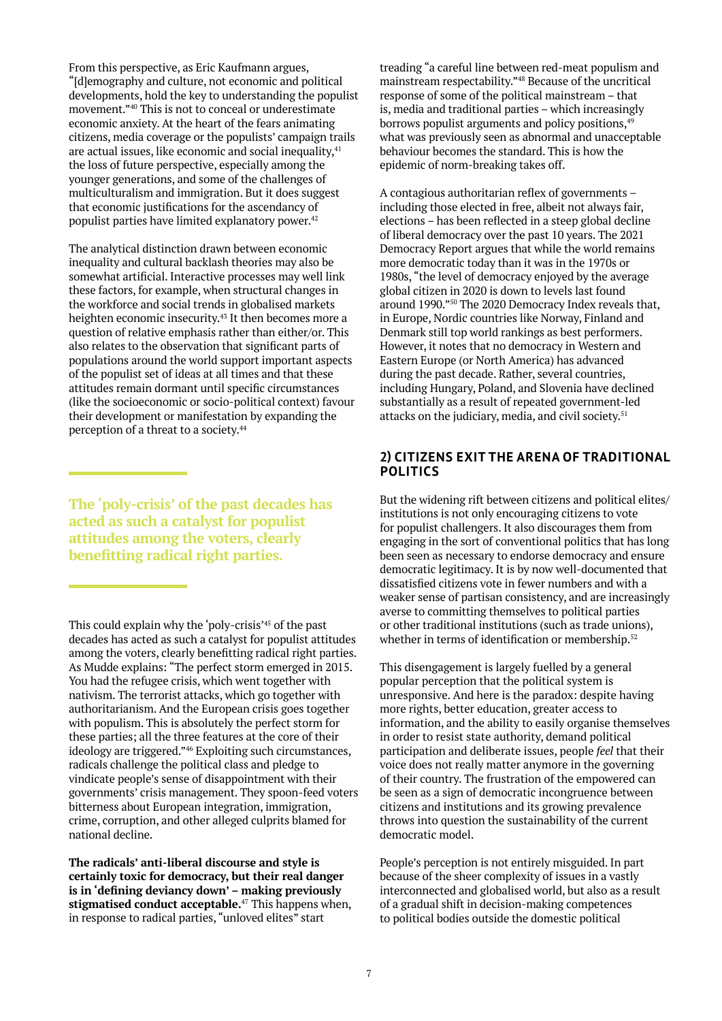From this perspective, as Eric Kaufmann argues, "[d]emography and culture, not economic and political developments, hold the key to understanding the populist movement."40 This is not to conceal or underestimate economic anxiety. At the heart of the fears animating citizens, media coverage or the populists' campaign trails are actual issues, like economic and social inequality,<sup>41</sup> the loss of future perspective, especially among the younger generations, and some of the challenges of multiculturalism and immigration. But it does suggest that economic justifications for the ascendancy of populist parties have limited explanatory power.<sup>42</sup>

The analytical distinction drawn between economic inequality and cultural backlash theories may also be somewhat artificial. Interactive processes may well link these factors, for example, when structural changes in the workforce and social trends in globalised markets heighten economic insecurity.<sup>43</sup> It then becomes more a question of relative emphasis rather than either/or. This also relates to the observation that significant parts of populations around the world support important aspects of the populist set of ideas at all times and that these attitudes remain dormant until specific circumstances (like the socioeconomic or socio-political context) favour their development or manifestation by expanding the perception of a threat to a society.44

**The 'poly-crisis' of the past decades has acted as such a catalyst for populist attitudes among the voters, clearly benefitting radical right parties.**

This could explain why the 'poly-crisis'45 of the past decades has acted as such a catalyst for populist attitudes among the voters, clearly benefitting radical right parties. As Mudde explains: "The perfect storm emerged in 2015. You had the refugee crisis, which went together with nativism. The terrorist attacks, which go together with authoritarianism. And the European crisis goes together with populism. This is absolutely the perfect storm for these parties; all the three features at the core of their ideology are triggered."46 Exploiting such circumstances, radicals challenge the political class and pledge to vindicate people's sense of disappointment with their governments' crisis management. They spoon-feed voters bitterness about European integration, immigration, crime, corruption, and other alleged culprits blamed for national decline.

**The radicals' anti-liberal discourse and style is certainly toxic for democracy, but their real danger is in 'defining deviancy down' – making previously stigmatised conduct acceptable.**<sup>47</sup> This happens when, in response to radical parties, "unloved elites" start

treading "a careful line between red-meat populism and mainstream respectability."48 Because of the uncritical response of some of the political mainstream – that is, media and traditional parties – which increasingly borrows populist arguments and policy positions, <sup>49</sup> what was previously seen as abnormal and unacceptable behaviour becomes the standard. This is how the epidemic of norm-breaking takes off.

A contagious authoritarian reflex of governments – including those elected in free, albeit not always fair, elections – has been reflected in a steep global decline of liberal democracy over the past 10 years. The 2021 Democracy Report argues that while the world remains more democratic today than it was in the 1970s or 1980s, "the level of democracy enjoyed by the average global citizen in 2020 is down to levels last found around 1990."50 The 2020 Democracy Index reveals that, in Europe, Nordic countries like Norway, Finland and Denmark still top world rankings as best performers. However, it notes that no democracy in Western and Eastern Europe (or North America) has advanced during the past decade. Rather, several countries, including Hungary, Poland, and Slovenia have declined substantially as a result of repeated government-led attacks on the judiciary, media, and civil society.<sup>51</sup>

#### **2) CITIZENS EXIT THE ARENA OF TRADITIONAL POLITICS**

But the widening rift between citizens and political elites/ institutions is not only encouraging citizens to vote for populist challengers. It also discourages them from engaging in the sort of conventional politics that has long been seen as necessary to endorse democracy and ensure democratic legitimacy. It is by now well-documented that dissatisfied citizens vote in fewer numbers and with a weaker sense of partisan consistency, and are increasingly averse to committing themselves to political parties or other traditional institutions (such as trade unions), whether in terms of identification or membership.<sup>52</sup>

This disengagement is largely fuelled by a general popular perception that the political system is unresponsive. And here is the paradox: despite having more rights, better education, greater access to information, and the ability to easily organise themselves in order to resist state authority, demand political participation and deliberate issues, people *feel* that their voice does not really matter anymore in the governing of their country. The frustration of the empowered can be seen as a sign of democratic incongruence between citizens and institutions and its growing prevalence throws into question the sustainability of the current democratic model.

People's perception is not entirely misguided. In part because of the sheer complexity of issues in a vastly interconnected and globalised world, but also as a result of a gradual shift in decision-making competences to political bodies outside the domestic political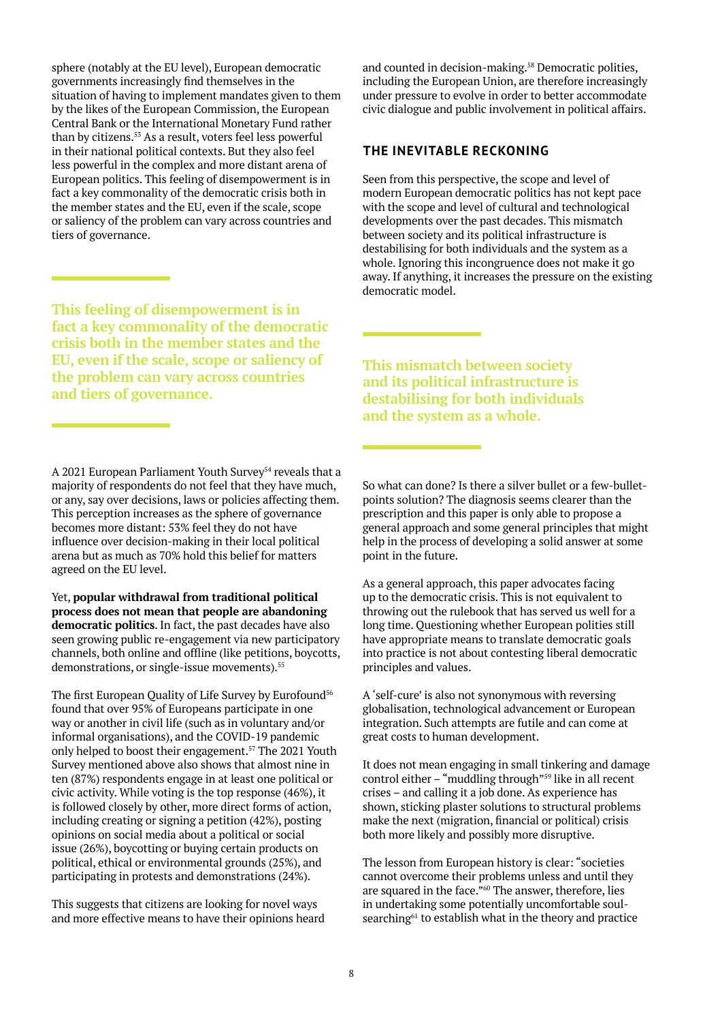sphere (notably at the EU level), European democratic governments increasingly find themselves in the situation of having to implement mandates given to them by the likes of the European Commission, the European Central Bank or the International Monetary Fund rather than by citizens.53 As a result, voters feel less powerful in their national political contexts. But they also feel less powerful in the complex and more distant arena of European politics. This feeling of disempowerment is in fact a key commonality of the democratic crisis both in the member states and the EU, even if the scale, scope or saliency of the problem can vary across countries and tiers of governance.

**This feeling of disempowerment is in fact a key commonality of the democratic crisis both in the member states and the EU, even if the scale, scope or saliency of the problem can vary across countries and tiers of governance.**

A 2021 European Parliament Youth Survey<sup>54</sup> reveals that a majority of respondents do not feel that they have much, or any, say over decisions, laws or policies affecting them. This perception increases as the sphere of governance becomes more distant: 53% feel they do not have influence over decision-making in their local political arena but as much as 70% hold this belief for matters agreed on the EU level.

Yet, **popular withdrawal from traditional political process does not mean that people are abandoning democratic politics**. In fact, the past decades have also seen growing public re-engagement via new participatory channels, both online and offline (like petitions, boycotts, demonstrations, or single-issue movements).<sup>55</sup>

The first European Quality of Life Survey by Eurofound<sup>56</sup> found that over 95% of Europeans participate in one way or another in civil life (such as in voluntary and/or informal organisations), and the COVID-19 pandemic only helped to boost their engagement.57 The 2021 Youth Survey mentioned above also shows that almost nine in ten (87%) respondents engage in at least one political or civic activity. While voting is the top response (46%), it is followed closely by other, more direct forms of action, including creating or signing a petition (42%), posting opinions on social media about a political or social issue (26%), boycotting or buying certain products on political, ethical or environmental grounds (25%), and participating in protests and demonstrations (24%).

This suggests that citizens are looking for novel ways and more effective means to have their opinions heard

and counted in decision-making.<sup>58</sup> Democratic polities, including the European Union, are therefore increasingly under pressure to evolve in order to better accommodate civic dialogue and public involvement in political affairs.

#### **THE INEVITABLE RECKONING**

Seen from this perspective, the scope and level of modern European democratic politics has not kept pace with the scope and level of cultural and technological developments over the past decades. This mismatch between society and its political infrastructure is destabilising for both individuals and the system as a whole. Ignoring this incongruence does not make it go away. If anything, it increases the pressure on the existing democratic model.

**This mismatch between society and its political infrastructure is destabilising for both individuals and the system as a whole.**

So what can done? Is there a silver bullet or a few-bulletpoints solution? The diagnosis seems clearer than the prescription and this paper is only able to propose a general approach and some general principles that might help in the process of developing a solid answer at some point in the future.

As a general approach, this paper advocates facing up to the democratic crisis. This is not equivalent to throwing out the rulebook that has served us well for a long time. Questioning whether European polities still have appropriate means to translate democratic goals into practice is not about contesting liberal democratic principles and values.

A 'self-cure' is also not synonymous with reversing globalisation, technological advancement or European integration. Such attempts are futile and can come at great costs to human development.

It does not mean engaging in small tinkering and damage control either – "muddling through"59 like in all recent crises – and calling it a job done. As experience has shown, sticking plaster solutions to structural problems make the next (migration, financial or political) crisis both more likely and possibly more disruptive.

The lesson from European history is clear: "societies cannot overcome their problems unless and until they are squared in the face."<sup>60</sup> The answer, therefore, lies in undertaking some potentially uncomfortable soulsearching<sup>61</sup> to establish what in the theory and practice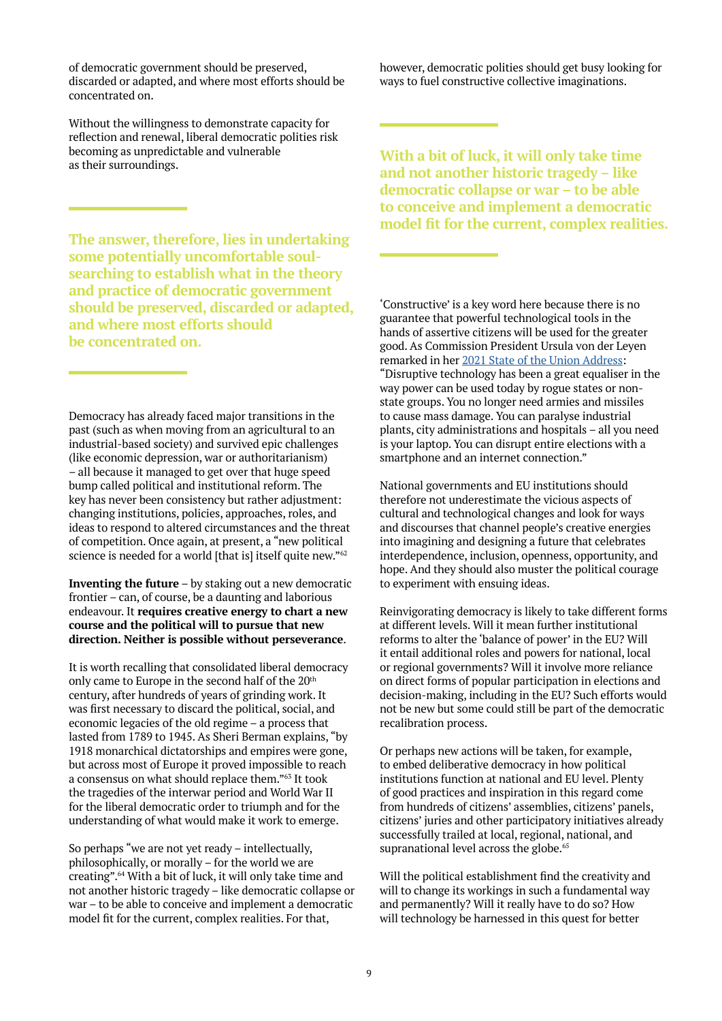of democratic government should be preserved, discarded or adapted, and where most efforts should be concentrated on.

Without the willingness to demonstrate capacity for reflection and renewal, liberal democratic polities risk becoming as unpredictable and vulnerable as their surroundings.

**The answer, therefore, lies in undertaking some potentially uncomfortable soulsearching to establish what in the theory and practice of democratic government should be preserved, discarded or adapted, and where most efforts should be concentrated on.**

Democracy has already faced major transitions in the past (such as when moving from an agricultural to an industrial-based society) and survived epic challenges (like economic depression, war or authoritarianism) – all because it managed to get over that huge speed bump called political and institutional reform. The key has never been consistency but rather adjustment: changing institutions, policies, approaches, roles, and ideas to respond to altered circumstances and the threat of competition. Once again, at present, a "new political science is needed for a world [that is] itself quite new."<sup>62</sup>

**Inventing the future** – by staking out a new democratic frontier – can, of course, be a daunting and laborious endeavour. It **requires creative energy to chart a new course and the political will to pursue that new direction. Neither is possible without perseverance**.

It is worth recalling that consolidated liberal democracy only came to Europe in the second half of the 20<sup>th</sup> century, after hundreds of years of grinding work. It was first necessary to discard the political, social, and economic legacies of the old regime – a process that lasted from 1789 to 1945. As Sheri Berman explains, "by 1918 monarchical dictatorships and empires were gone, but across most of Europe it proved impossible to reach a consensus on what should replace them."63 It took the tragedies of the interwar period and World War II for the liberal democratic order to triumph and for the understanding of what would make it work to emerge.

So perhaps "we are not yet ready – intellectually, philosophically, or morally – for the world we are creating".64 With a bit of luck, it will only take time and not another historic tragedy – like democratic collapse or war – to be able to conceive and implement a democratic model fit for the current, complex realities. For that,

however, democratic polities should get busy looking for ways to fuel constructive collective imaginations.

**With a bit of luck, it will only take time and not another historic tragedy – like democratic collapse or war – to be able to conceive and implement a democratic model fit for the current, complex realities.**

'Constructive' is a key word here because there is no guarantee that powerful technological tools in the hands of assertive citizens will be used for the greater good. As Commission President Ursula von der Leyen remarked in her [2021 State of the Union Address:](https://ec.europa.eu/info/strategy/strategic-planning/state-union-addresses/state-union-2021_en) "Disruptive technology has been a great equaliser in the way power can be used today by rogue states or nonstate groups. You no longer need armies and missiles to cause mass damage. You can paralyse industrial plants, city administrations and hospitals – all you need is your laptop. You can disrupt entire elections with a smartphone and an internet connection."

National governments and EU institutions should therefore not underestimate the vicious aspects of cultural and technological changes and look for ways and discourses that channel people's creative energies into imagining and designing a future that celebrates interdependence, inclusion, openness, opportunity, and hope. And they should also muster the political courage to experiment with ensuing ideas.

Reinvigorating democracy is likely to take different forms at different levels. Will it mean further institutional reforms to alter the 'balance of power' in the EU? Will it entail additional roles and powers for national, local or regional governments? Will it involve more reliance on direct forms of popular participation in elections and decision-making, including in the EU? Such efforts would not be new but some could still be part of the democratic recalibration process.

Or perhaps new actions will be taken, for example, to embed deliberative democracy in how political institutions function at national and EU level. Plenty of good practices and inspiration in this regard come from hundreds of citizens' assemblies, citizens' panels, citizens' juries and other participatory initiatives already successfully trailed at local, regional, national, and supranational level across the globe.<sup>65</sup>

Will the political establishment find the creativity and will to change its workings in such a fundamental way and permanently? Will it really have to do so? How will technology be harnessed in this quest for better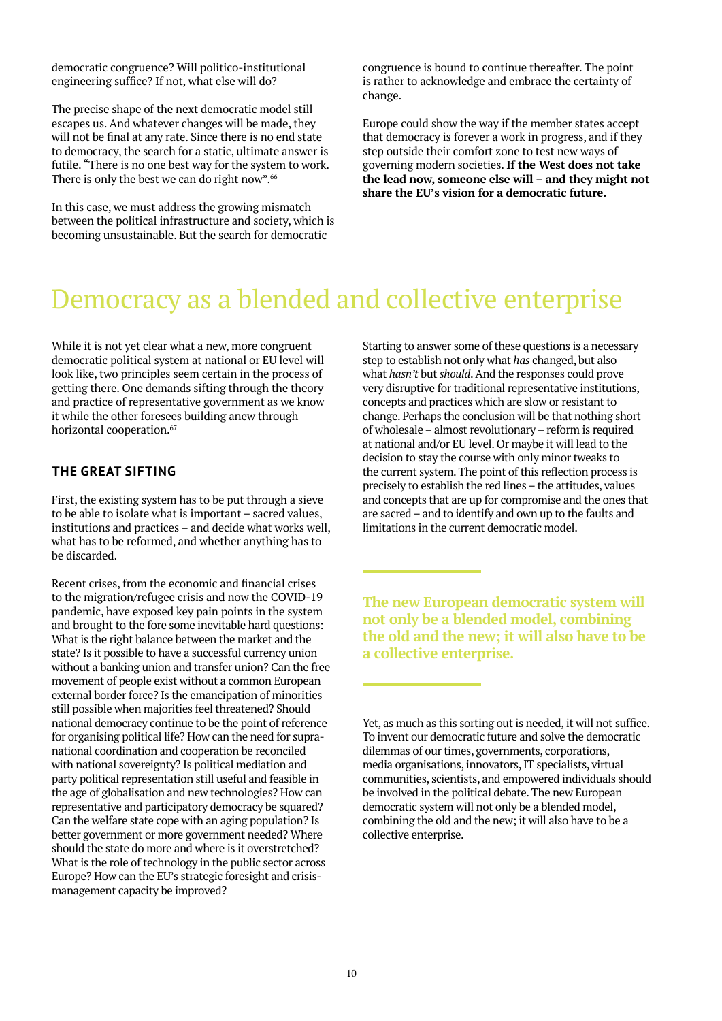democratic congruence? Will politico-institutional engineering suffice? If not, what else will do?

The precise shape of the next democratic model still escapes us. And whatever changes will be made, they will not be final at any rate. Since there is no end state to democracy, the search for a static, ultimate answer is futile. "There is no one best way for the system to work. There is only the best we can do right now".<sup>66</sup>

In this case, we must address the growing mismatch between the political infrastructure and society, which is becoming unsustainable. But the search for democratic

congruence is bound to continue thereafter. The point is rather to acknowledge and embrace the certainty of change.

Europe could show the way if the member states accept that democracy is forever a work in progress, and if they step outside their comfort zone to test new ways of governing modern societies. **If the West does not take the lead now, someone else will – and they might not share the EU's vision for a democratic future.**

## Democracy as a blended and collective enterprise

While it is not yet clear what a new, more congruent democratic political system at national or EU level will look like, two principles seem certain in the process of getting there. One demands sifting through the theory and practice of representative government as we know it while the other foresees building anew through horizontal cooperation.<sup>67</sup>

### **THE GREAT SIFTING**

First, the existing system has to be put through a sieve to be able to isolate what is important – sacred values, institutions and practices – and decide what works well, what has to be reformed, and whether anything has to be discarded.

Recent crises, from the economic and financial crises to the migration/refugee crisis and now the COVID-19 pandemic, have exposed key pain points in the system and brought to the fore some inevitable hard questions: What is the right balance between the market and the state? Is it possible to have a successful currency union without a banking union and transfer union? Can the free movement of people exist without a common European external border force? Is the emancipation of minorities still possible when majorities feel threatened? Should national democracy continue to be the point of reference for organising political life? How can the need for supranational coordination and cooperation be reconciled with national sovereignty? Is political mediation and party political representation still useful and feasible in the age of globalisation and new technologies? How can representative and participatory democracy be squared? Can the welfare state cope with an aging population? Is better government or more government needed? Where should the state do more and where is it overstretched? What is the role of technology in the public sector across Europe? How can the EU's strategic foresight and crisismanagement capacity be improved?

Starting to answer some of these questions is a necessary step to establish not only what *has* changed, but also what *hasn't* but *should*. And the responses could prove very disruptive for traditional representative institutions, concepts and practices which are slow or resistant to change. Perhaps the conclusion will be that nothing short of wholesale – almost revolutionary – reform is required at national and/or EU level. Or maybe it will lead to the decision to stay the course with only minor tweaks to the current system. The point of this reflection process is precisely to establish the red lines – the attitudes, values and concepts that are up for compromise and the ones that are sacred – and to identify and own up to the faults and limitations in the current democratic model.

**The new European democratic system will not only be a blended model, combining the old and the new; it will also have to be a collective enterprise.**

Yet, as much as this sorting out is needed, it will not suffice. To invent our democratic future and solve the democratic dilemmas of our times, governments, corporations, media organisations, innovators, IT specialists, virtual communities, scientists, and empowered individuals should be involved in the political debate. The new European democratic system will not only be a blended model, combining the old and the new; it will also have to be a collective enterprise.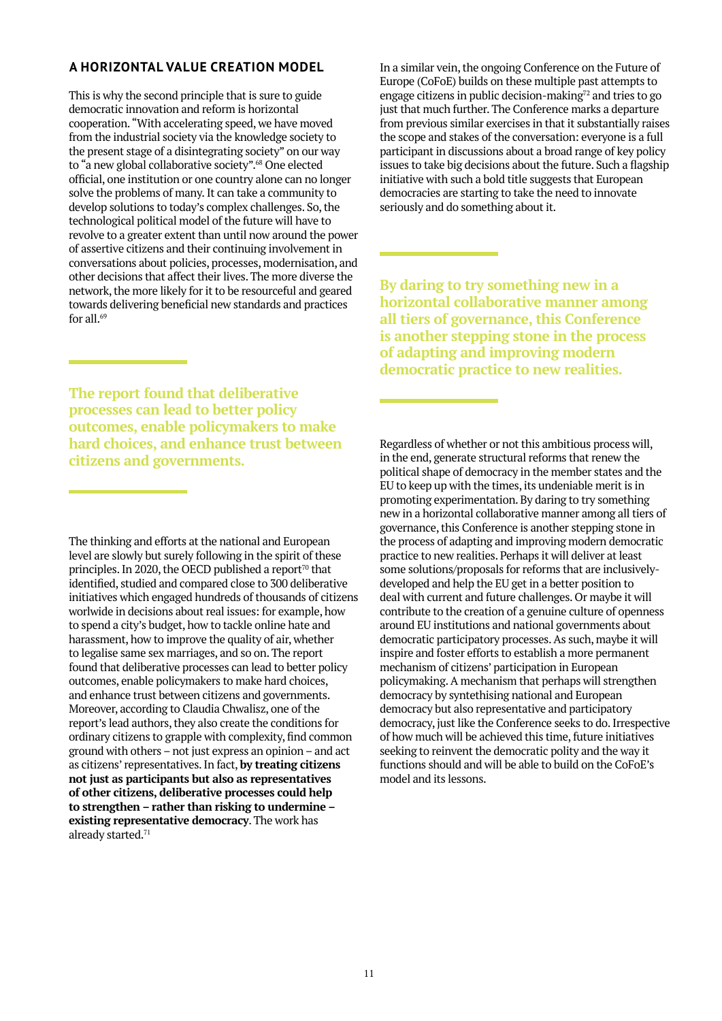### <span id="page-10-0"></span>**A HORIZONTAL VALUE CREATION MODEL**

This is why the second principle that is sure to guide democratic innovation and reform is horizontal cooperation. "With accelerating speed, we have moved from the industrial society via the knowledge society to the present stage of a disintegrating society" on our way to "a new global collaborative society".<sup>68</sup> One elected official, one institution or one country alone can no longer solve the problems of many. It can take a community to develop solutions to today's complex challenges. So, the technological political model of the future will have to revolve to a greater extent than until now around the power of assertive citizens and their continuing involvement in conversations about policies, processes, modernisation, and other decisions that affect their lives. The more diverse the network, the more likely for it to be resourceful and geared towards delivering beneficial new standards and practices for all. $69$ 

**The report found that deliberative processes can lead to better policy outcomes, enable policymakers to make hard choices, and enhance trust between citizens and governments.**

The thinking and efforts at the national and European level are slowly but surely following in the spirit of these principles. In 2020, the OECD published a report $\frac{70}{10}$  that identified, studied and compared close to 300 deliberative initiatives which engaged hundreds of thousands of citizens worlwide in decisions about real issues: for example, how to spend a city's budget, how to tackle online hate and harassment, how to improve the quality of air, whether to legalise same sex marriages, and so on. The report found that deliberative processes can lead to better policy outcomes, enable policymakers to make hard choices, and enhance trust between citizens and governments. Moreover, according to Claudia Chwalisz, one of the report's lead authors, they also create the conditions for ordinary citizens to grapple with complexity, find common ground with others – not just express an opinion – and act as citizens' representatives. In fact, **by treating citizens not just as participants but also as representatives of other citizens, deliberative processes could help to strengthen – rather than risking to undermine – existing representative democracy**. The work has already started.<sup>71</sup>

In a similar vein, the ongoing Conference on the Future of Europe (CoFoE) builds on these multiple past attempts to engage citizens in public decision-making $72$  and tries to go just that much further. The Conference marks a departure from previous similar exercises in that it substantially raises the scope and stakes of the conversation: everyone is a full participant in discussions about a broad range of key policy issues to take big decisions about the future. Such a flagship initiative with such a bold title suggests that European democracies are starting to take the need to innovate seriously and do something about it.

**By daring to try something new in a horizontal collaborative manner among all tiers of governance, this Conference is another stepping stone in the process of adapting and improving modern democratic practice to new realities.**

Regardless of whether or not this ambitious process will, in the end, generate structural reforms that renew the political shape of democracy in the member states and the EU to keep up with the times, its undeniable merit is in promoting experimentation. By daring to try something new in a horizontal collaborative manner among all tiers of governance, this Conference is another stepping stone in the process of adapting and improving modern democratic practice to new realities. Perhaps it will deliver at least some solutions/proposals for reforms that are inclusivelydeveloped and help the EU get in a better position to deal with current and future challenges. Or maybe it will contribute to the creation of a genuine culture of openness around EU institutions and national governments about democratic participatory processes. As such, maybe it will inspire and foster efforts to establish a more permanent mechanism of citizens' participation in European policymaking. A mechanism that perhaps will strengthen democracy by syntethising national and European democracy but also representative and participatory democracy, just like the Conference seeks to do. Irrespective of how much will be achieved this time, future initiatives seeking to reinvent the democratic polity and the way it functions should and will be able to build on the CoFoE's model and its lessons.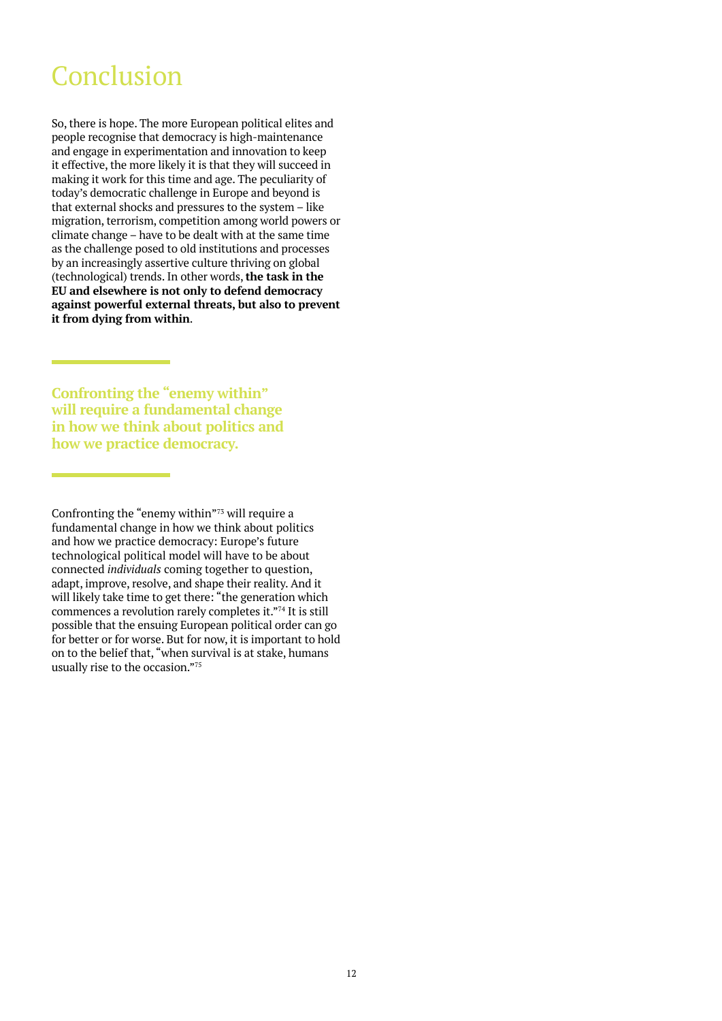### Conclusion

So, there is hope. The more European political elites and people recognise that democracy is high-maintenance and engage in experimentation and innovation to keep it effective, the more likely it is that they will succeed in making it work for this time and age. The peculiarity of today's democratic challenge in Europe and beyond is that external shocks and pressures to the system – like migration, terrorism, competition among world powers or climate change – have to be dealt with at the same time as the challenge posed to old institutions and processes by an increasingly assertive culture thriving on global (technological) trends. In other words, **the task in the EU and elsewhere is not only to defend democracy against powerful external threats, but also to prevent it from dying from within**.

**Confronting the "enemy within" will require a fundamental change in how we think about politics and how we practice democracy.**

Confronting the "enemy within"73 will require a fundamental change in how we think about politics and how we practice democracy: Europe's future technological political model will have to be about connected *individuals* coming together to question, adapt, improve, resolve, and shape their reality. And it will likely take time to get there: "the generation which commences a revolution rarely completes it."74 It is still possible that the ensuing European political order can go for better or for worse. But for now, it is important to hold on to the belief that, "when survival is at stake, humans usually rise to the occasion."75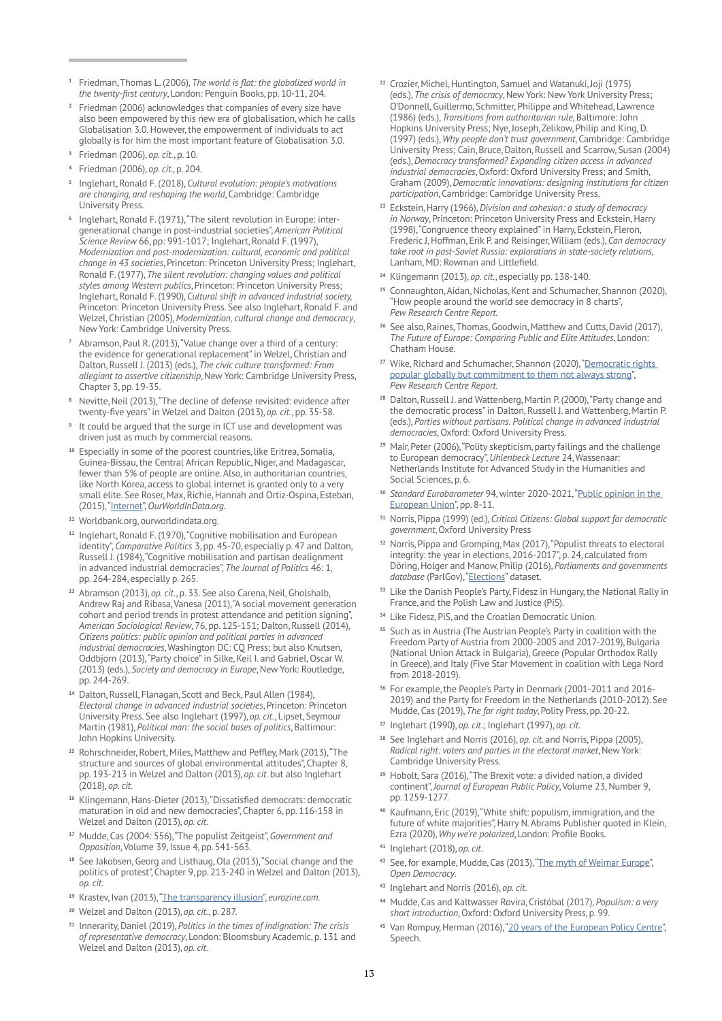- **[1](#page-3-0)** Friedman, Thomas L. (2006), *The world is flat: the globalized world in the twenty-first century*, London: Penguin Books, pp. 10-11, 204.
- **[2](#page-3-0)** Friedman (2006) acknowledges that companies of every size have also been empowered by this new era of globalisation, which he calls Globalisation 3.0. However, the empowerment of individuals to act globally is for him the most important feature of Globalisation 3.0.
- **<sup>3</sup>** Friedman (2006), *op. cit*., p. 10.
- **<sup>4</sup>** Friedman (2006), *op. cit.*, p. 204.
- **<sup>5</sup>** Inglehart, Ronald F. (2018), *Cultural evolution: people's motivations are changing, and reshaping the world*, Cambridge: Cambridge University Press.
- **<sup>6</sup>** Inglehart, Ronald F. (1971), "The silent revolution in Europe: intergenerational change in post-industrial societies", *American Political Science Review* 66, pp: 991-1017; Inglehart, Ronald F. (1997), *Modernization and post-modernization: cultural, economic and political change in 43 societies*, Princeton: Princeton University Press; Inglehart, Ronald F. (1977), *The silent revolution: changing values and political styles among Western publics*, Princeton: Princeton University Press; Inglehart, Ronald F. (1990), *Cultural shift in advanced industrial society,* Princeton: Princeton University Press. See also Inglehart, Ronald F. and Welzel, Christian (2005), *Modernization, cultural change and democracy*, New York: Cambridge University Press.
- **<sup>7</sup>** Abramson, Paul R. (2013), "Value change over a third of a century: the evidence for generational replacement" in Welzel, Christian and Dalton, Russell J. (2013) (eds.), *The civic culture transformed: From allegiant to assertive citizenship*, New York: Cambridge University Press, Chapter 3, pp. 19-35.
- **<sup>8</sup>** Nevitte, Neil (2013), "The decline of defense revisited: evidence after twenty-five years" in Welzel and Dalton (2013), *op. cit*., pp. 35-58.
- **<sup>9</sup>** It could be argued that the surge in ICT use and development was driven just as much by commercial reasons.
- **<sup>10</sup>** Especially in some of the poorest countries, like Eritrea, Somalia, Guinea-Bissau, the Central African Republic, Niger, and Madagascar, fewer than 5% of people are online. Also, in authoritarian countries, like North Korea, access to global internet is granted only to a very small elite. See Roser, Max, Richie, Hannah and Ortiz-Ospina, Esteban, (2015), ["Internet"](https://ourworldindata.org/internet#the-internet-s-history-has-just-begun), *OurWorldInData.org*.
- **<sup>11</sup>** [Worldbank.org](http://Worldbank.org), [ourworldindata.org](http://ourworldindata.org).
- **[12](#page-3-0)** Inglehart, Ronald F. (1970), "Cognitive mobilisation and European identity", *Comparative Politics* 3, pp. 45-70, especially p. 47 and Dalton, Russell J. (1984), "Cognitive mobilisation and partisan dealignment in advanced industrial democracies", *The Journal of Politics* 46: 1, pp. 264-284, especially p. 265.
- **<sup>13</sup>** Abramson (2013), *op. cit*., p. 33. See also Carena, Neil, Gholshalb, Andrew Raj and Ribasa, Vanesa (2011), "A social movement generation cohort and period trends in protest attendance and petition signing", *American Sociological Review*, 76, pp. 125-151; Dalton, Russell (2014), *Citizens politics: public opinion and political parties in advanced industrial democracies*, Washington DC: CQ Press; but also Knutsen, Oddbjorn (2013), "Party choice" in Silke, Keil I. and Gabriel, Oscar W. (2013) (eds.), *Society and democracy in Europe*, New York: Routledge, pp. 244-269.
- **<sup>14</sup>** Dalton, Russell, Flanagan, Scott and Beck, Paul Allen (1984), *Electoral change in advanced industrial societies*, Princeton: Princeton University Press. See also Inglehart (1997), *op. cit*., Lipset, Seymour Martin (1981), *Political man: the social bases of politics*, Baltimour: John Hopkins University.
- **<sup>15</sup>** Rohrschneider, Robert, Miles, Matthew and Peffley, Mark (2013), "The structure and sources of global environmental attitudes", Chapter 8, pp. 193-213 in Welzel and Dalton (2013), *op. cit*. but also Inglehart (2018), *op. cit*.
- **<sup>16</sup>** Klingemann, Hans-Dieter (2013), "Dissatisfied democrats: democratic maturation in old and new democracies", Chapter 6, pp. 116-158 in Welzel and Dalton (2013), *op. cit*.
- **<sup>17</sup>** Mudde, Cas (2004: 556), "The populist Zeitgeist", *Government and Opposition*, Volume 39, Issue 4, pp. 541-563.
- **<sup>18</sup>** See Jakobsen, Georg and Listhaug, Ola (2013), "Social change and the politics of protest", Chapter 9, pp. 213-240 in Welzel and Dalton (2013), *op. cit*.
- **<sup>19</sup>** Krastev, Ivan (2013), "[The transparency illusion"](https://www.eurozine.com/the-transparency-delusion/), *eurozine.com*.
- **<sup>20</sup>** Welzel and Dalton (2013), *op. cit*., p. 287.
- **<sup>21</sup>** Innerarity, Daniel (2019), *Politics in the times of indignation: The crisis of representative democracy*, London: Bloomsbury Academic, p. 131 and Welzel and Dalton (2013), *op. cit*.
- **2[2](#page-3-0)** Crozier, Michel, Huntington, Samuel and Watanuki, Joji (1975) (eds.), *The crisis of democracy*, New York: New York University Press; O'Donnell, Guillermo, Schmitter, Philippe and Whitehead, Lawrence (1986) (eds.), *Transitions from authoritarian rule*, Baltimore: John Hopkins University Press; Nye, Joseph, Zelikow, Philip and King, D. (1997) (eds.), *Why people don't trust government*, Cambridge: Cambridge University Press; Cain, Bruce, Dalton, Russell and Scarrow, Susan (2004) (eds.), *Democracy transformed? Expanding citizen access in advanced industrial democracies*, Oxford: Oxford University Press; and Smith, Graham (2009), *Democratic innovations: designing institutions for citizen participation*, Cambridge: Cambridge University Press.
- **<sup>23</sup>** Eckstein, Harry (1966), *Division and cohesion: a study of democracy in Norway*, Princeton: Princeton University Press and Eckstein, Harry (1998), "Congruence theory explained" in Harry, Eckstein, Fleron, Frederic J, Hoffman, Erik P. and Reisinger, William (eds.), *Can democracy take root in post-Soviet Russia: explorations in state-society relations*, Lanham, MD: Rowman and Littlefield.
- **<sup>24</sup>** Klingemann (2013), *op. cit*., especially pp. 138-140.
- **<sup>25</sup>** Connaughton, Aidan, Nicholas, Kent and Schumacher, Shannon (2020), "How people around the world see democracy in 8 charts", *Pew Research Centre Report*.
- **<sup>26</sup>** See also, Raines, Thomas, Goodwin, Matthew and Cutts, David (2017), *The Future of Europe: Comparing Public and Elite Attitudes*, London: Chatham House.
- <sup>27</sup> Wike, Richard and Schumacher, Shannon (2020), "Democratic rights [popular globally but commitment to them not always strong](https://www.pewresearch.org/global/2020/02/27/democratic-rights-popular-globally-but-commitment-to-them-not-always-strong/)", *Pew Research Centre Report*.
- **<sup>28</sup>** Dalton, Russell J. and Wattenberg, Martin P. (2000), "Party change and the democratic process" in Dalton, Russell J. and Wattenberg, Martin P. (eds.), *Parties without partisans. Political change in advanced industrial democracies*, Oxford: Oxford University Press.
- **<sup>29</sup>** Mair, Peter (2006), "Polity skepticism, party failings and the challenge to European democracy", *Uhlenbeck Lecture* 24, Wassenaar: Netherlands Institute for Advanced Study in the Humanities and Social Sciences, p. 6.
- **<sup>30</sup>** *Standard Eurobarometer* 94, winter 2020-2021, "[Public opinion in the](https://europa.eu/eurobarometer/surveys/detail/2355)  [European Union"](https://europa.eu/eurobarometer/surveys/detail/2355), pp. 8-11.
- **<sup>31</sup>** Norris, Pippa (1999) (ed.), *Critical Citizens: Global support for democratic government*, Oxford University Press
- **3[2](#page-3-0)** Norris, Pippa and Gromping, Max (2017), "Populist threats to electoral integrity: the year in elections, 2016-2017", p. 24, calculated from Döring, Holger and Manow, Philip (2016), *Parliaments and governments*  database (ParlGov), "[Elections"](www.parlgov.org/) dataset.
- **<sup>33</sup>** Like the Danish People's Party, Fidesz in Hungary, the National Rally in France, and the Polish Law and Justice (PiS)
- **<sup>34</sup>** Like Fidesz, PiS, and the Croatian Democratic Union.
- **<sup>35</sup>** Such as in Austria (The Austrian People's Party in coalition with the Freedom Party of Austria from 2000-2005 and 2017-2019), Bulgaria (National Union Attack in Bulgaria), Greece (Popular Orthodox Rally in Greece), and Italy (Five Star Movement in coalition with Lega Nord from 2018-2019).
- **<sup>36</sup>** For example, the People's Party in Denmark (2001-2011 and 2016- 2019) and the Party for Freedom in the Netherlands (2010-2012). See Mudde, Cas (2019), *The far right today*, Polity Press, pp. 20-22.
- **<sup>37</sup>** Inglehart (1990), *op. cit*.; Inglehart (1997), *op. cit*.
- **<sup>38</sup>** See Inglehart and Norris (2016), *op. cit*. and Norris, Pippa (2005), *Radical right: voters and parties in the electoral market*, New York: Cambridge University Press.
- **<sup>39</sup>** Hobolt, Sara (2016), "The Brexit vote: a divided nation, a divided continent", *Journal of European Public Policy*, Volume 23, Number 9, pp. 1259-1277.
- **<sup>40</sup>** Kaufmann, Eric (2019), "White shift: populism, immigration, and the future of white majorities", Harry N. Abrams Publisher quoted in Klein, Ezra (2020), *Why we're polarized*, London: Profile Books.
- **<sup>41</sup>** Inglehart (2018), *op. cit*.
- **4[2](#page-3-0)** See, for example, Mudde, Cas (2013), "[The myth of Weimar Europe"](https://www.opendemocracy.net/can-europe-make-it/cas-mudde/myth-of-weimar-europe), *Open Democracy*.
- **<sup>43</sup>** Inglehart and Norris (2016), *op. cit*.
- **<sup>44</sup>** Mudde, Cas and Kaltwasser Rovira, Cristóbal (2017), *Populism: a very short introduction*, Oxford: Oxford University Press, p. 99.
- **<sup>45</sup>** Van Rompuy, Herman (2016), ["20 years of the European Policy Centre](https://www.epc.eu/en/Publications/20-years-of-the-European-Polic~25a0d0)", Speech.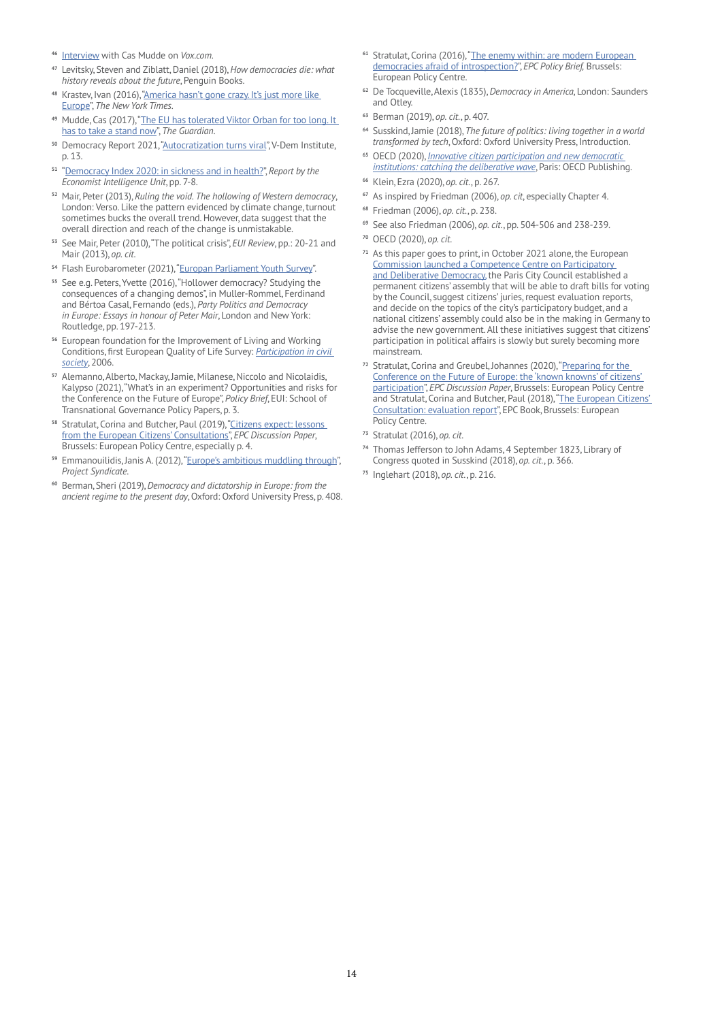- **<sup>46</sup>** [Interview](https://www.vox.com/2016/5/31/11722994/european-far-right-cas-mudde) with Cas Mudde on *Vox.com*.
- **<sup>47</sup>** Levitsky, Steven and Ziblatt, Daniel (2018), *How democracies die: what history reveals about the future*, Penguin Books.
- **<sup>48</sup>** Krastev, Ivan (2016), ["America hasn't gone crazy. It's just more like](https://www.nytimes.com/2016/04/15/opinion/america-hasnt-gone-crazy-its-just-more-like-europe.html
)  [Europe](https://www.nytimes.com/2016/04/15/opinion/america-hasnt-gone-crazy-its-just-more-like-europe.html
)", *The New York Times*.
- **<sup>49</sup>** Mudde, Cas (2017), ["The EU has tolerated Viktor Orban for too long. It](https://www.theguardian.com/commentisfree/2017/apr/03/eu-tolerated-viktor-orban-hungarian-central-european-university)  [has to take a stand now](https://www.theguardian.com/commentisfree/2017/apr/03/eu-tolerated-viktor-orban-hungarian-central-european-university)", *The Guardian*.
- **<sup>50</sup>** Democracy Report 2021, ["Autocratization turns viral"](https://www.v-dem.net/files/25/DR%202021.pdf), V-Dem Institute, p. 13.
- **<sup>51</sup>** "[Democracy Index 2020: in sickness and in health?](https://www.eiu.com/n/campaigns/democracy-index-2020/)", *Report by the Economist Intelligence Unit*, pp. 7-8.
- **5[2](#page-3-0)** Mair, Peter (2013), *Ruling the void. The hollowing of Western democracy*, London: Verso. Like the pattern evidenced by climate change, turnout sometimes bucks the overall trend. However, data suggest that the overall direction and reach of the change is unmistakable.
- **<sup>53</sup>** See Mair, Peter (2010), "The political crisis", *EUI Review*, pp.: 20-21 and Mair (2013), *op. cit*.
- **<sup>54</sup>** Flash Eurobarometer (2021), ["Europan Parliament Youth Survey"](https://european-youth-event.europarl.europa.eu/wp-content/uploads/2021/09/Fl_EP-Youth-survey_key_findings.pdf).
- **<sup>55</sup>** See e.g. Peters, Yvette (2016), "Hollower democracy? Studying the consequences of a changing demos", in Muller-Rommel, Ferdinand and Bértoa Casal, Fernando (eds.), *Party Politics and Democracy in Europe: Essays in honour of Peter Mair*, London and New York: Routledge, pp. 197-213.
- **<sup>56</sup>** European foundation for the Improvement of Living and Working Conditions, first European Quality of Life Survey: *[Participation in civil](https://www.eurofound.europa.eu/sites/default/files/ef_publication/field_ef_document/ef0676en.pdf)  [society](https://www.eurofound.europa.eu/sites/default/files/ef_publication/field_ef_document/ef0676en.pdf)*, 2006.
- **<sup>57</sup>** Alemanno, Alberto, Mackay, Jamie, Milanese, Niccolo and Nicolaidis, Kalypso (2021), "What's in an experiment? Opportunities and risks for the Conference on the Future of Europe", *Policy Brief*, EUI: School of Transnational Governance Policy Papers, p. 3.
- **<sup>58</sup>** Stratulat, Corina and Butcher, Paul (2019), ["Citizens expect: lessons](https://www.epc.eu/en/Publications/Citizens-expect-Lessons-from-the-European-Citizens-Consultations~26c3d4)  [from the European Citizens' Consultations](https://www.epc.eu/en/Publications/Citizens-expect-Lessons-from-the-European-Citizens-Consultations~26c3d4)", *EPC Discussion Paper*, Brussels: European Policy Centre, especially p. 4.
- **<sup>59</sup>** Emmanouilidis, Janis A. (2012), ["Europe's ambitious muddling through](https://www.emmanouilidis.eu/publications/2012/2012_7_24_Project_Syndicate.php)", *Project Syndicate*.
- **<sup>60</sup>** Berman, Sheri (2019), *Democracy and dictatorship in Europe: from the ancient regime to the present day*, Oxford: Oxford University Press, p. 408.
- **<sup>61</sup>** Stratulat, Corina (2016), ["The enemy within: are modern European](https://www.epc.eu/en/Publications/The-enemy-within-are-modern-E~25a2c4)  [democracies afraid of introspection?](https://www.epc.eu/en/Publications/The-enemy-within-are-modern-E~25a2c4)", *EPC Policy Brief,* Brussels: European Policy Centre.
- **<sup>62</sup>** De Tocqueville, Alexis (1835), *Democracy in America*, London: Saunders and Otley.
- **<sup>63</sup>** Berman (2019), *op. cit*., p. 407.
- **<sup>64</sup>** Susskind, Jamie (2018), *The future of politics: living together in a world transformed by tech*, Oxford: Oxford University Press, Introduction.
- **<sup>65</sup>** OECD (2020), *[Innovative citizen participation and new democratic](https://doi.org/10.1787/339306da-en.)  [institutions: catching the deliberative wave](https://doi.org/10.1787/339306da-en.)*, Paris: OECD Publishing.
- **<sup>66</sup>** Klein, Ezra (2020), *op. cit*., p. 267.
- **<sup>67</sup>** As inspired by Friedman (2006), *op. cit*, especially Chapter 4.
- **<sup>68</sup>** Friedman (2006), *op. cit*., p. 238.
- **<sup>69</sup>** See also Friedman (2006), *op. cit*., pp. 504-506 and 238-239.
- **<sup>70</sup>** OECD (2020), *op. cit*.
- **<sup>71</sup>** As this paper goes to print, in October 2021 alone, the European [Commission launched a Competence Centre on Participatory](https://knowledge4policy.ec.europa.eu/participatory-democracy/about-competence-centre-participatory-deliberative-democracy_en)  [and Deliberative Democracy,](https://knowledge4policy.ec.europa.eu/participatory-democracy/about-competence-centre-participatory-deliberative-democracy_en) the Paris City Council established a permanent citizens' assembly that will be able to draft bills for voting by the Council, suggest citizens' juries, request evaluation reports, and decide on the topics of the city's participatory budget, and a national citizens' assembly could also be in the making in Germany to advise the new government. All these initiatives suggest that citizens' participation in political affairs is slowly but surely becoming more mainstream.
- **[72](#page-3-0)** Stratulat, Corina and Greubel, Johannes (2020), "[Preparing for the](https://www.epc.eu/content/PDF/2020/Conference_on_FoE-web2.pdf)  [Conference on the Future of Europe: the 'known knowns' of citizens'](https://www.epc.eu/content/PDF/2020/Conference_on_FoE-web2.pdf)  [participation"](https://www.epc.eu/content/PDF/2020/Conference_on_FoE-web2.pdf), *EPC Discussion Paper*, Brussels: European Policy Centre and Stratulat, Corina and Butcher, Paul (2018), ["The European Citizens'](https://www.epc.eu/en/Publications/The-European-Citizens-Consult~267d84)  [Consultation: evaluation report"](https://www.epc.eu/en/Publications/The-European-Citizens-Consult~267d84), EPC Book, Brussels: European Policy Centre.
- **<sup>73</sup>** Stratulat (2016), *op. cit*.
- **<sup>74</sup>** Thomas Jefferson to John Adams, 4 September 1823, Library of Congress quoted in Susskind (2018), *op. cit*., p. 366.
- **<sup>75</sup>** Inglehart (2018), *op. cit*., p. 216.